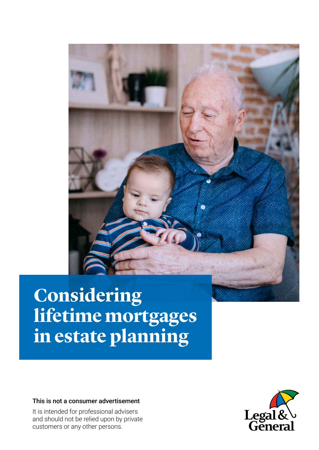

# **Considering lifetime mortgages in estate planning**

This is not a consumer advertisement

It is intended for professional advisers and should not be relied upon by private customers or any other persons.

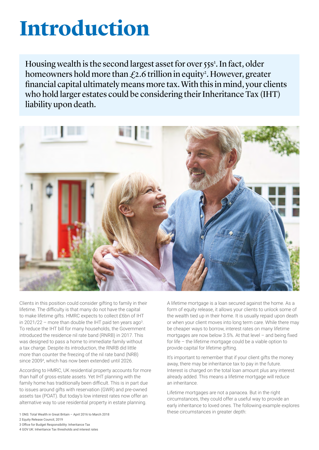# **Introduction**

Housing wealth is the second largest asset for over 55s<sup>1</sup>. In fact, older homeowners hold more than  $\mathcal{L}$ 2.6 trillion in equity<sup>2</sup>. However, greater financial capital ultimately means more tax. With this in mind, your clients who hold larger estates could be considering their Inheritance Tax (IHT) liability upon death.



Clients in this position could consider gifting to family in their lifetime. The difficulty is that many do not have the capital to make lifetime gifts. HMRC expects to collect £6bn of IHT in 2021/22 – more than double the IHT paid ten years ago<sup>3</sup>. To reduce the IHT bill for many households, the Government introduced the residence nil rate band (RNRB) in 2017. This was designed to pass a home to immediate family without a tax charge. Despite its introduction, the RNRB did little more than counter the freezing of the nil rate band (NRB) since 2009<sup>4</sup> , which has now been extended until 2026.

According to HMRC, UK residential property accounts for more than half of gross estate assets. Yet IHT planning with the family home has traditionally been difficult. This is in part due to issues around gifts with reservation (GWR) and pre-owned assets tax (POAT). But today's low interest rates now offer an alternative way to use residential property in estate planning.

- 
- 2 Equity Release Council, 2019
- 3 Office for Budget Responsibility: Inheritance Tax
- 4 GOV UK: Inheritance Tax thresholds and interest rates

A lifetime mortgage is a loan secured against the home. As a form of equity release, it allows your clients to unlock some of the wealth tied up in their home. It is usually repaid upon death or when your client moves into long term care. While there may be cheaper ways to borrow, interest rates on many lifetime mortgages are now below 3.5%. At that level – and being fixed for life – the lifetime mortgage could be a viable option to provide capital for lifetime gifting.

It's important to remember that if your client gifts the money away, there may be inheritance tax to pay in the future. Interest is charged on the total loan amount plus any interest already added. This means a lifetime mortgage will reduce an inheritance.

Lifetime mortgages are not a panacea. But in the right circumstances, they could offer a useful way to provide an early inheritance to loved ones. The following example explores these circumstances in greater depth: 1 ONS: Total Wealth in Great Britain – April 2016 to March 2018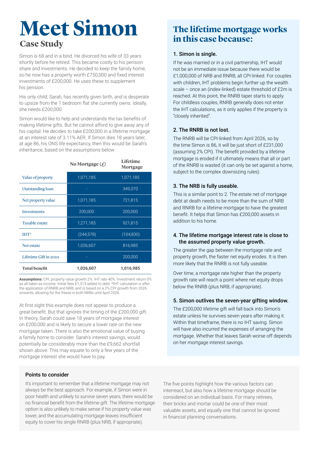## **Meet Simon Case Study**

Simon is 68 and in a bind. He divorced his wife of 33 years shortly before he retired. This became costly to his pension share and investments. He decided to keep the family home, so he now has a property worth £750,000 and fixed interest investments of £200,000. He uses these to supplement his pension.

His only child, Sarah, has recently given birth, and is desperate to upsize from the 1 bedroom flat she currently owns. Ideally, she needs £200,000.

Simon would like to help and understands the tax benefits of making lifetime gifts. But he cannot afford to give away any of his capital. He decides to take £200,000 in a lifetime mortgage at an interest rate of 3.11% AER. If Simon dies 18 years later, at age 86, his ONS life expectancy, then this would be Sarah's inheritance, based on the assumptions below:

|                       | No Mortgage $(f)$ | Lifetime<br>Mortgage |
|-----------------------|-------------------|----------------------|
| Value of property     | 1,071,185         | 1,071,185            |
| Outstanding loan      |                   | 349,370              |
| Net property value    | 1,071,185         | 721,815              |
| Investments           | 200,000           | 200,000              |
| <b>Taxable estate</b> | 1,271,185         | 921,815              |
| $IHT^*$               | (244, 578)        | (104, 830)           |
| Net estate            | 1,026,607         | 816,985              |
| Lifetime Gift in 2020 |                   | 200,000              |
| <b>Total benefit</b>  | 1,026,607         | 1,016,985            |

**Assumptions:** CPI, property value growth 2%. IHT rate 40%. Investment return 0% as all taken as income. Initial fees £1,313 added to debt. \*IHT calculation is after the application of RNRB and NRB, and is based on a 2% CPI growth from 2026 onwards; allowing for the freeze in both NRBs until April 2026.

At first sight this example does not appear to produce a great benefit. But that ignores the timing of the £200,000 gift. In theory, Sarah could save 18 years of mortgage interest on £200,000 and is likely to secure a lower rate on the new mortgage taken. There is also the emotional value of buying a family home to consider. Sarah's interest savings, would potentially be considerably more than the £9,662 shortfall shown above. This may equate to only a few years of the mortgage interest she would have to pay.

#### Points to consider

It's important to remember that a lifetime mortgage may not always be the best approach. For example, if Simon were in poor health and unlikely to survive seven years, there would be no financial benefit from the lifetime gift. The lifetime mortgage option is also unlikely to make sense if his property value was lower, and the accumulating mortgage leaves insufficient equity to cover his single RNRB (plus NRB, if appropriate).

### **The lifetime mortgage works in this case because:**

#### 1. Simon is single.

If he was married or in a civil partnership, IHT would not be an immediate issue because there would be £1,000,000 of NRB and RNRB, all CPI-linked. For couples with children, IHT problems begin further up the wealth scale – once an (index-linked) estate threshold of £2m is reached. At this point, the RNRB taper starts to apply. For childless couples, RNRB generally does not enter the IHT calculations, as it only applies if the property is "closely inherited".

#### 2. The RNRB is not lost.

The RNRB will be CPI-linked from April 2026, so by the time Simon is 86, it will be just short of £231,000 (assuming 2% CPI). The benefit provided by a lifetime mortgage is eroded if it ultimately means that all or part of the RNRB is wasted (it can only be set against a home, subject to the complex downsizing rules).

#### 3. The NRB is fully useable.

This is a similar point to 2. The estate net of mortgage debt at death needs to be more than the sum of NRB and RNRB for a lifetime mortgage to have the greatest benefit. It helps that Simon has £200,000 assets in addition to his home.

#### 4. The lifetime mortgage interest rate is close to the assumed property value growth.

The greater the gap between the mortgage rate and property growth, the faster net equity erodes. It is then more likely that the RNRB is not fully useable.

Over time, a mortgage rate higher than the property growth rate will reach a point where net equity drops below the RNRB (plus NRB, if appropriate).

#### 5. Simon outlives the seven-year gifting window.

The £200,000 lifetime gift will fall back into Simon's estate unless he survives seven years after making it. Within that timeframe, there is no IHT saving. Simon will have also incurred the expenses of arranging the mortgage. Whether that leaves Sarah worse off depends on her mortgage interest savings.

The five points highlight how the various factors can interreact, but also how a lifetime mortgage should be considered on an individual basis. For many retirees, their bricks and mortar could be one of their most valuable assets, and equally one that cannot be ignored in financial planning conversations.